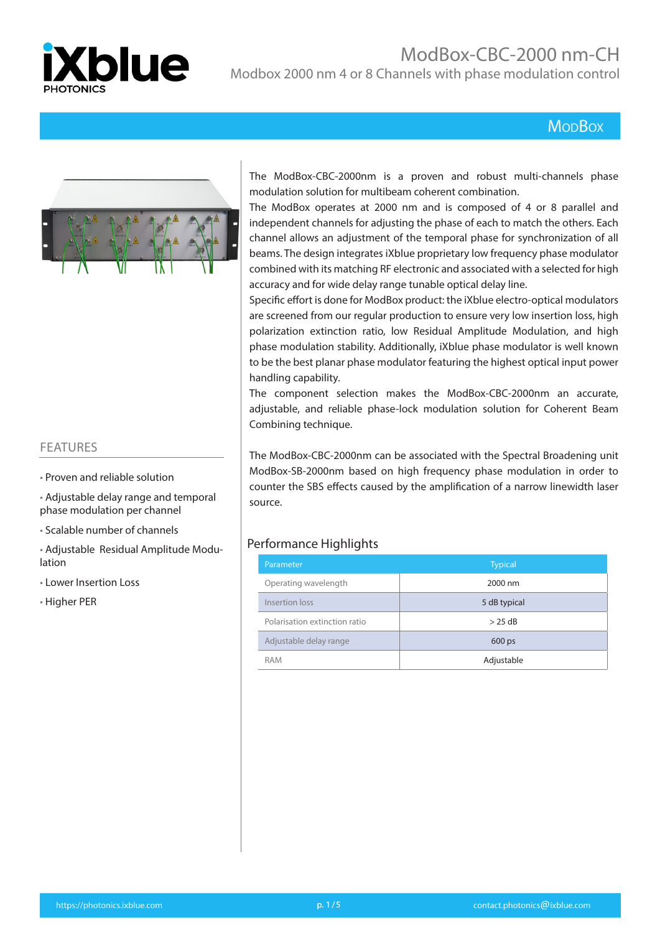

# ModBox-CBC-2000 nm-CH

Modbox 2000 nm 4 or 8 Channels with phase modulation control

#### **MopBox**



#### FEATURES

- Proven and reliable solution
- Adjustable delay range and temporal phase modulation per channel
- Scalable number of channels
- Adjustable Residual Amplitude Modulation
- Lower Insertion Loss
- Higher PER

The ModBox-CBC-2000nm is a proven and robust multi-channels phase modulation solution for multibeam coherent combination.

The ModBox operates at 2000 nm and is composed of 4 or 8 parallel and independent channels for adjusting the phase of each to match the others. Each channel allows an adjustment of the temporal phase for synchronization of all beams. The design integrates iXblue proprietary low frequency phase modulator combined with its matching RF electronic and associated with a selected for high accuracy and for wide delay range tunable optical delay line.

Specific effort is done for ModBox product: the iXblue electro-optical modulators are screened from our regular production to ensure very low insertion loss, high polarization extinction ratio, low Residual Amplitude Modulation, and high phase modulation stability. Additionally, iXblue phase modulator is well known to be the best planar phase modulator featuring the highest optical input power handling capability.

The component selection makes the ModBox-CBC-2000nm an accurate, adjustable, and reliable phase-lock modulation solution for Coherent Beam Combining technique.

The ModBox-CBC-2000nm can be associated with the Spectral Broadening unit ModBox-SB-2000nm based on high frequency phase modulation in order to counter the SBS effects caused by the amplification of a narrow linewidth laser source.

#### Performance Highlights

| Parameter                     | <b>Typical</b> |
|-------------------------------|----------------|
| Operating wavelength          | 2000 nm        |
| Insertion loss                | 5 dB typical   |
| Polarisation extinction ratio | $>$ 25 dB      |
| Adjustable delay range        | $600$ ps       |
| <b>RAM</b>                    | Adjustable     |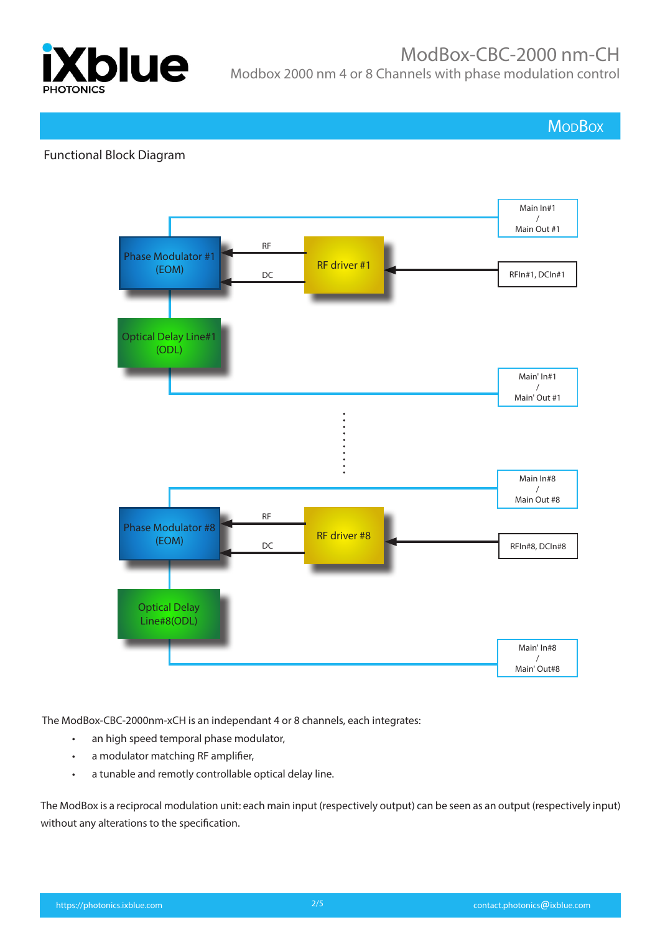

# ModBox-CBC-2000 nm-CH

Modbox 2000 nm 4 or 8 Channels with phase modulation control

**MoDBox** 

#### Functional Block Diagram



The ModBox-CBC-2000nm-xCH is an independant 4 or 8 channels, each integrates:

- an high speed temporal phase modulator,
- a modulator matching RF amplifier,
- a tunable and remotly controllable optical delay line.

The ModBox is a reciprocal modulation unit: each main input (respectively output) can be seen as an output (respectively input) without any alterations to the specification.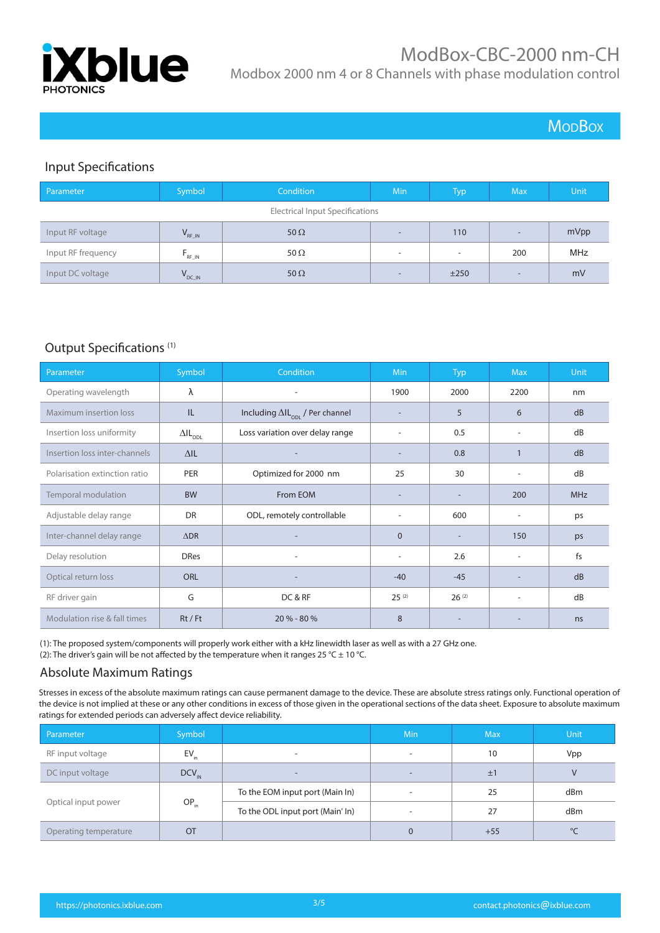

# ModBox-CBC-2000 nm-CH

Modbox 2000 nm 4 or 8 Channels with phase modulation control

### **MoDBox**

#### Input Specifications

| Parameter                              | Symbol <sup>1</sup> | Condition   | <b>Min</b>               | <b>Typ</b>               | Max.                     | Unit |
|----------------------------------------|---------------------|-------------|--------------------------|--------------------------|--------------------------|------|
| <b>Electrical Input Specifications</b> |                     |             |                          |                          |                          |      |
| Input RF voltage                       | $V_{RF\_IN}$        | 50 $\Omega$ | $\overline{\phantom{a}}$ | 110                      | $\overline{\phantom{0}}$ | mVpp |
| Input RF frequency                     | $F_{RF\_IN}$        | 50 $\Omega$ | $\overline{\phantom{a}}$ | $\overline{\phantom{a}}$ | 200                      | MHz  |
| Input DC voltage                       | $V_{DC\_IN}$        | 50 $\Omega$ | $\overline{\phantom{0}}$ | ±250                     | $\overline{\phantom{0}}$ | mV   |

#### Output Specifications (1)

| Parameter                     | Symbol                            | <b>Condition</b>                                  | Min            | Typ                      | <b>Max</b>               | Unit           |
|-------------------------------|-----------------------------------|---------------------------------------------------|----------------|--------------------------|--------------------------|----------------|
| Operating wavelength          | λ                                 | ۰                                                 | 1900           | 2000                     | 2200                     | nm             |
| Maximum insertion loss        | IL                                | Including $\Delta I L_{\text{opt}}$ / Per channel |                | 5                        | 6                        | dB             |
| Insertion loss uniformity     | $\Delta \mathsf{IL}_\mathsf{ODL}$ | Loss variation over delay range                   |                | 0.5                      | $\overline{a}$           | dB             |
| Insertion loss inter-channels | $\Delta$ IL                       |                                                   |                | 0.8                      |                          | dB             |
| Polarisation extinction ratio | <b>PER</b>                        | Optimized for 2000 nm                             | 25             | 30                       | ٠                        | dB             |
| Temporal modulation           | <b>BW</b>                         | From EOM                                          |                | $\overline{\phantom{a}}$ | 200                      | <b>MHz</b>     |
| Adjustable delay range        | <b>DR</b>                         | ODL, remotely controllable                        |                | 600                      |                          | ps             |
| Inter-channel delay range     | $\triangle$ DR                    |                                                   | $\Omega$       | $\overline{\phantom{a}}$ | 150                      | ps             |
| Delay resolution              | <b>DRes</b>                       | ۰                                                 | $\overline{a}$ | 2.6                      | $\overline{\phantom{a}}$ | f <sub>S</sub> |
| Optical return loss           | <b>ORL</b>                        |                                                   | $-40$          | $-45$                    |                          | dB             |
| RF driver gain                | G                                 | DC & RF                                           | $25^{(2)}$     | $26^{(2)}$               | $\overline{\phantom{a}}$ | dB             |
| Modulation rise & fall times  | $Rt$ / Ft                         | $20 \% - 80 \%$                                   | 8              |                          |                          | ns             |

(1): The proposed system/components will properly work either with a kHz linewidth laser as well as with a 27 GHz one. (2): The driver's gain will be not affected by the temperature when it ranges 25 °C  $\pm$  10 °C.

#### Absolute Maximum Ratings

Stresses in excess of the absolute maximum ratings can cause permanent damage to the device. These are absolute stress ratings only. Functional operation of the device is not implied at these or any other conditions in excess of those given in the operational sections of the data sheet. Exposure to absolute maximum ratings for extended periods can adversely affect device reliability.

| Parameter             | Symbol     |                                  | Min | <b>Max</b> | <b>Unit</b> |
|-----------------------|------------|----------------------------------|-----|------------|-------------|
| RF input voltage      | EV.        | $\overline{\phantom{a}}$         | -   | 10         | Vpp         |
| DC input voltage      | $DCV_{IN}$ | $\overline{\phantom{a}}$         | -   | ±1         |             |
| Optical input power   | $OP_{in}$  | To the EOM input port (Main In)  |     | 25         | dBm         |
|                       |            | To the ODL input port (Main' In) |     | 27         | dBm         |
| Operating temperature | OT         |                                  | 0   | $+55$      | $\circ$     |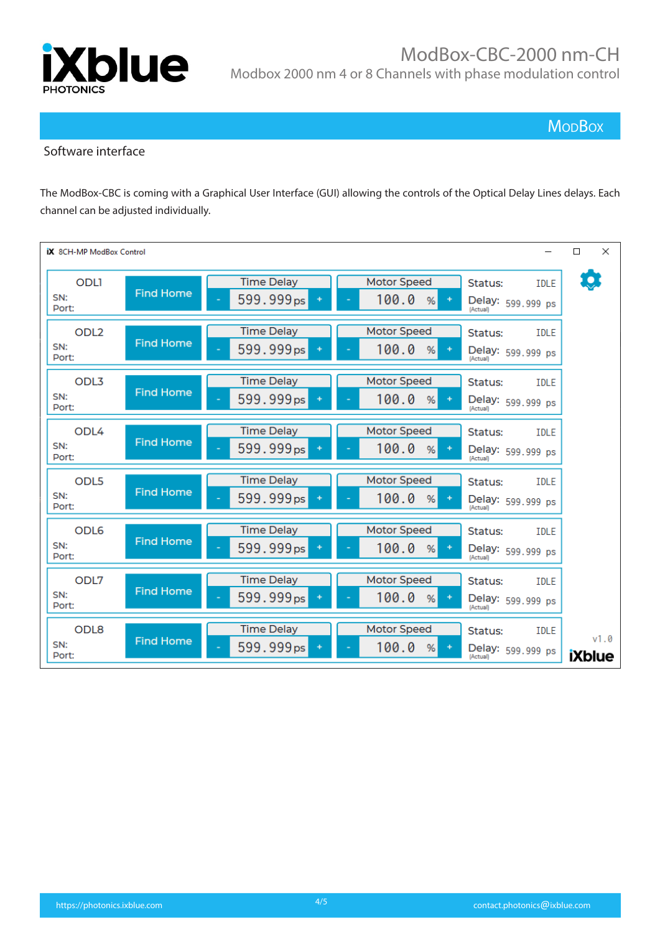

**MopBox** 

#### Software interface

The ModBox-CBC is coming with a Graphical User Interface (GUI) allowing the controls of the Optical Delay Lines delays. Each channel can be adjusted individually.